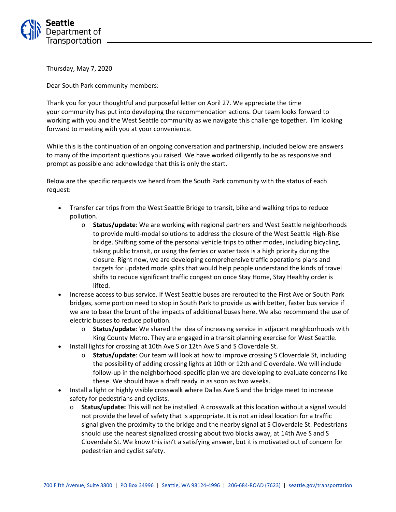

Thursday, May 7, 2020

Dear South Park community members:

Thank you for your thoughtful and purposeful letter on April 27. We appreciate the time your community has put into developing the recommendation actions. Our team looks forward to working with you and the West Seattle community as we navigate this challenge together. I'm looking forward to meeting with you at your convenience.

While this is the continuation of an ongoing conversation and partnership, included below are answers to many of the important questions you raised. We have worked diligently to be as responsive and prompt as possible and acknowledge that this is only the start.

Below are the specific requests we heard from the South Park community with the status of each request:

- Transfer car trips from the West Seattle Bridge to transit, bike and walking trips to reduce pollution.
	- o **Status/update**: We are working with regional partners and West Seattle neighborhoods to provide multi-modal solutions to address the closure of the West Seattle High-Rise bridge. Shifting some of the personal vehicle trips to other modes, including bicycling, taking public transit, or using the ferries or water taxis is a high priority during the closure. Right now, we are developing comprehensive traffic operations plans and targets for updated mode splits that would help people understand the kinds of travel shifts to reduce significant traffic congestion once Stay Home, Stay Healthy order is lifted.
- Increase access to bus service. If West Seattle buses are rerouted to the First Ave or South Park bridges, some portion need to stop in South Park to provide us with better, faster bus service if we are to bear the brunt of the impacts of additional buses here. We also recommend the use of electric busses to reduce pollution.
	- o **Status/update**: We shared the idea of increasing service in adjacent neighborhoods with King County Metro. They are engaged in a transit planning exercise for West Seattle.
- Install lights for crossing at 10th Ave S or 12th Ave S and S Cloverdale St.
	- o **Status/update**: Our team will look at how to improve crossing S Cloverdale St, including the possibility of adding crossing lights at 10th or 12th and Cloverdale. We will include follow-up in the neighborhood-specific plan we are developing to evaluate concerns like these. We should have a draft ready in as soon as two weeks.
- Install a light or highly visible crosswalk where Dallas Ave S and the bridge meet to increase safety for pedestrians and cyclists.
	- o **Status/update:** This will not be installed. A crosswalk at this location without a signal would not provide the level of safety that is appropriate. It is not an ideal location for a traffic signal given the proximity to the bridge and the nearby signal at S Cloverdale St. Pedestrians should use the nearest signalized crossing about two blocks away, at 14th Ave S and S Cloverdale St. We know this isn't a satisfying answer, but it is motivated out of concern for pedestrian and cyclist safety.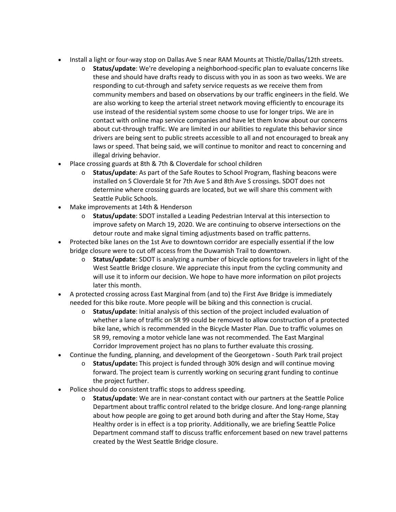- Install a light or four-way stop on Dallas Ave S near RAM Mounts at Thistle/Dallas/12th streets.
	- o **Status/update**: We're developing a neighborhood-specific plan to evaluate concerns like these and should have drafts ready to discuss with you in as soon as two weeks. We are responding to cut-through and safety service requests as we receive them from community members and based on observations by our traffic engineers in the field. We are also working to keep the arterial street network moving efficiently to encourage its use instead of the residential system some choose to use for longer trips. We are in contact with online map service companies and have let them know about our concerns about cut-through traffic. We are limited in our abilities to regulate this behavior since drivers are being sent to public streets accessible to all and not encouraged to break any laws or speed. That being said, we will continue to monitor and react to concerning and illegal driving behavior.
- Place crossing guards at 8th & 7th & Cloverdale for school children
	- o **Status/update**: As part of the Safe Routes to School Program, flashing beacons were installed on S Cloverdale St for 7th Ave S and 8th Ave S crossings. SDOT does not determine where crossing guards are located, but we will share this comment with Seattle Public Schools.
- Make improvements at 14th & Henderson
	- o **Status/update**: SDOT installed a Leading Pedestrian Interval at this intersection to improve safety on March 19, 2020. We are continuing to observe intersections on the detour route and make signal timing adjustments based on traffic patterns.
- Protected bike lanes on the 1st Ave to downtown corridor are especially essential if the low bridge closure were to cut off access from the Duwamish Trail to downtown.
	- o **Status/update**: SDOT is analyzing a number of bicycle options for travelers in light of the West Seattle Bridge closure. We appreciate this input from the cycling community and will use it to inform our decision. We hope to have more information on pilot projects later this month.
- A protected crossing across East Marginal from (and to) the First Ave Bridge is immediately needed for this bike route. More people will be biking and this connection is crucial.
	- o **Status/update**: Initial analysis of this section of the project included evaluation of whether a lane of traffic on SR 99 could be removed to allow construction of a protected bike lane, which is recommended in the Bicycle Master Plan. Due to traffic volumes on SR 99, removing a motor vehicle lane was not recommended. The East Marginal Corridor Improvement project has no plans to further evaluate this crossing.
- Continue the funding, planning, and development of the Georgetown South Park trail project
	- o **Status/update:** This project is funded through 30% design and will continue moving forward. The project team is currently working on securing grant funding to continue the project further.
- Police should do consistent traffic stops to address speeding.
	- o **Status/update**: We are in near-constant contact with our partners at the Seattle Police Department about traffic control related to the bridge closure. And long-range planning about how people are going to get around both during and after the Stay Home, Stay Healthy order is in effect is a top priority. Additionally, we are briefing Seattle Police Department command staff to discuss traffic enforcement based on new travel patterns created by the West Seattle Bridge closure.